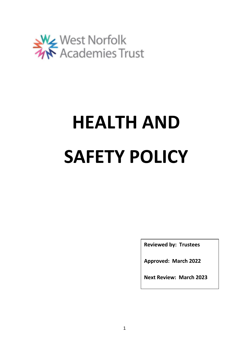

# **HEALTH AND SAFETY POLICY**

**Reviewed by: Trustees**

**Approved: March 2022**

**Next Review: March 2023**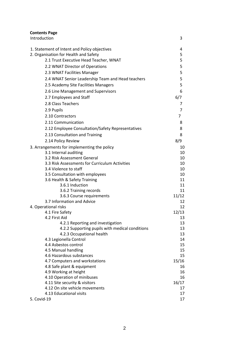| <b>Contents Page</b>                                |             |
|-----------------------------------------------------|-------------|
| Introduction                                        | 3           |
| 1. Statement of Intent and Policy objectives        | 4           |
| 2. Organisation for Health and Safety               | 5           |
| 2.1 Trust Executive Head Teacher, WNAT              | 5           |
| 2.2 WNAT Director of Operations                     | 5           |
| 2.3 WNAT Facilities Manager                         | 5           |
| 2.4 WNAT Senior Leadership Team and Head teachers   | 5           |
| 2.5 Academy Site Facilities Managers                | 5           |
| 2.6 Line Management and Supervisors                 | 6           |
| 2.7 Employees and Staff                             | 6/7         |
| 2.8 Class Teachers                                  | 7           |
| 2.9 Pupils                                          | 7           |
|                                                     |             |
| 2.10 Contractors                                    | 7           |
| 2.11 Communication                                  | 8           |
| 2.12 Employee Consultation/Safety Representatives   | 8           |
| 2.13 Consultation and Training                      | 8           |
| 2.14 Policy Review                                  | 8/9         |
| 3. Arrangements for implementing the policy         | 10          |
| 3.1 Internal auditing                               | 10          |
| 3.2 Risk Assessment General                         | 10          |
| 3.3 Risk Assessments for Curriculum Activities      | 10          |
| 3.4 Violence to staff                               | 10          |
| 3.5 Consultation with employees                     | 10          |
| 3.6 Health & Safety Training<br>3.6.1 Induction     | 11<br>11    |
| 3.6.2 Training records                              | 11          |
| 3.6.3 Course requirements                           | 11/12       |
| 3.7 Information and Advice                          | 12          |
| 4. Operational risks                                | 12          |
| 4.1 Fire Safety                                     | 12/13       |
| 4.2 First Aid                                       | 13          |
| 4.2.1 Reporting and investigation                   | 13          |
| 4.2.2 Supporting pupils with medical conditions     | 13          |
| 4.2.3 Occupational health                           | 13          |
| 4.3 Legionella Control                              | 14          |
| 4.4 Asbestos control                                | 15          |
| 4.5 Manual handling                                 | 15          |
| 4.6 Hazardous substances                            | 15          |
| 4.7 Computers and workstations                      | 15/16<br>16 |
| 4.8 Safe plant & equipment<br>4.9 Working at height | 16          |
| 4.10 Operation of minibuses                         | 16          |
| 4.11 Site security & visitors                       | 16/17       |
| 4.12 On site vehicle movements                      | 17          |
| 4.13 Educational visits                             | 17          |
| 5. Covid-19                                         | 17          |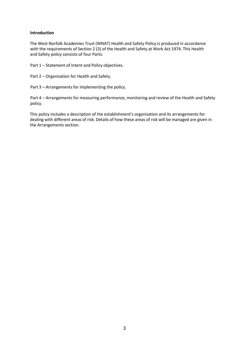## **Introduction**

The West Norfolk Academies Trust (WNAT) Health and Safety Policy is produced in accordance with the requirements of Section 2 (3) of the Health and Safety at Work Act 1974. This Health and Safety policy consists of four Parts:

Part 1 – Statement of Intent and Policy objectives.

Part 2 – Organisation for Health and Safety.

Part 3 – Arrangements for implementing the policy.

Part 4 – Arrangements for measuring performance, monitoring and review of the Health and Safety policy.

This policy includes a description of the establishment's organisation and its arrangements for dealing with different areas of risk. Details of how these areas of risk will be managed are given in the Arrangements section.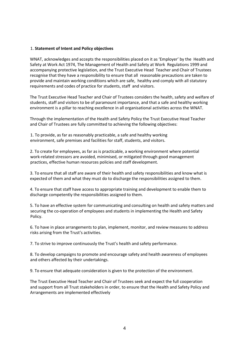#### 1. **Statement of Intent and Policy objectives**

WNAT, acknowledges and accepts the responsibilities placed on it as 'Employer' by the Health and Safety at Work Act 1974, The Management of Health and Safety at Work Regulations 1999 and accompanying protective legislation, and the Trust Executive Head Teacher and Chair of Trustees recognise that they have a responsibility to ensure that all reasonable precautions are taken to provide and maintain working conditions which are safe, healthy and comply with all statutory requirements and codes of practice for students, staff and visitors.

The Trust Executive Head Teacher and Chair of Trustees considers the health, safety and welfare of students, staff and visitors to be of paramount importance, and that a safe and healthy working environment is a pillar to reaching excellence in all organisational activities across the WNAT.

Through the implementation of the Health and Safety Policy the Trust Executive Head Teacher and Chair of Trustees are fully committed to achieving the following objectives:

1. To provide, as far as reasonably practicable, a safe and healthy working environment, safe premises and facilities for staff, students, and visitors.

2. To create for employees, as far as is practicable, a working environment where potential work-related stressors are avoided, minimised, or mitigated through good management practices, effective human resources policies and staff development.

3. To ensure that all staff are aware of their health and safety responsibilities and know what is expected of them and what they must do to discharge the responsibilities assigned to them.

4. To ensure that staff have access to appropriate training and development to enable them to discharge competently the responsibilities assigned to them.

5. To have an effective system for communicating and consulting on health and safety matters and securing the co-operation of employees and students in implementing the Health and Safety Policy.

6. To have in place arrangements to plan, implement, monitor, and review measures to address risks arising from the Trust's activities.

7. To strive to improve continuously the Trust's health and safety performance.

8. To develop campaigns to promote and encourage safety and health awareness of employees and others affected by their undertakings.

9. To ensure that adequate consideration is given to the protection of the environment.

The Trust Executive Head Teacher and Chair of Trustees seek and expect the full cooperation and support from all Trust stakeholders in order, to ensure that the Health and Safety Policy and Arrangements are implemented effectively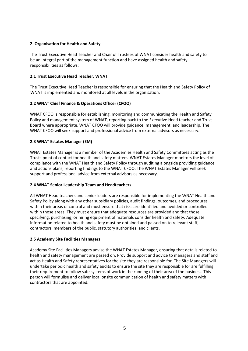# **2**. **Organisation for Health and Safety**

The Trust Executive Head Teacher and Chair of Trustees of WNAT consider health and safety to be an integral part of the management function and have assigned health and safety responsibilities as follows:

# **2.1 Trust Executive Head Teacher, WNAT**

The Trust Executive Head Teacher is responsible for ensuring that the Health and Safety Policy of WNAT is implemented and monitored at all levels in the organisation.

# **2.2 WNAT Chief Finance & Operations Officer (CFOO)**

WNAT CFOO is responsible for establishing, monitoring and communicating the Health and Safety Policy and management system of WNAT, reporting back to the Executive Head teacher and Trust Board where appropriate. WNAT CFOO will provide guidance, management, and leadership. The WNAT CFOO will seek support and professional advice from external advisors as necessary.

# **2.3 WNAT Estates Manager (EM)**

WNAT Estates Manager is a member of the Academies Health and Safety Committees acting as the Trusts point of contact for health and safety matters. WNAT Estates Manager monitors the level of compliance with the WNAT Health and Safety Policy through auditing alongside providing guidance and actions plans, reporting findings to the WNAT CFOO. The WNAT Estates Manager will seek support and professional advice from external advisors as necessary.

# **2.4 WNAT Senior Leadership Team and Headteachers**

All WNAT Head teachers and senior leaders are responsible for implementing the WNAT Health and Safety Policy along with any other subsidiary policies, audit findings, outcomes, and procedures within their areas of control and must ensure that risks are identified and avoided or controlled within those areas. They must ensure that adequate resources are provided and that those specifying, purchasing, or hiring equipment of materials consider health and safety. Adequate information related to health and safety must be obtained and passed on to relevant staff, contractors, members of the public, statutory authorities, and clients.

# **2.5 Academy Site Facilities Managers**

Academy Site Facilities Managers advise the WNAT Estates Manager, ensuring that details related to health and safety management are passed on. Provide support and advice to managers and staff and act as Health and Safety representatives for the site they are responsible for. The Site Managers will undertake periodic health and safety audits to ensure the site they are responsible for are fulfilling their requirement to follow safe systems of work in the running of their area of the business. This person will formulise and deliver local onsite communication of health and safety matters with contractors that are appointed.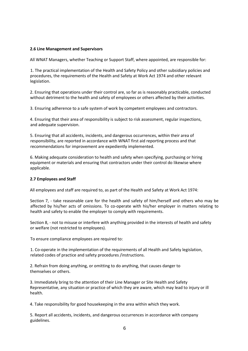## **2.6 Line Management and Supervisors**

All WNAT Managers, whether Teaching or Support Staff, where appointed, are responsible for:

1. The practical implementation of the Health and Safety Policy and other subsidiary policies and procedures, the requirements of the Health and Safety at Work Act 1974 and other relevant legislation.

2. Ensuring that operations under their control are, so far as is reasonably practicable, conducted without detriment to the health and safety of employees or others affected by their activities.

3. Ensuring adherence to a safe system of work by competent employees and contractors.

4. Ensuring that their area of responsibility is subject to risk assessment, regular inspections, and adequate supervision.

5. Ensuring that all accidents, incidents, and dangerous occurrences, within their area of responsibility, are reported in accordance with WNAT first aid reporting process and that recommendations for improvement are expediently implemented.

6. Making adequate consideration to health and safety when specifying, purchasing or hiring equipment or materials and ensuring that contractors under their control do likewise where applicable.

## **2.7 Employees and Staff**

All employees and staff are required to, as part of the Health and Safety at Work Act 1974:

Section 7, - take reasonable care for the health and safety of him/herself and others who may be affected by his/her acts of omissions. To co-operate with his/her employer in matters relating to health and safety to enable the employer to comply with requirements.

Section 8, - not to misuse or interfere with anything provided in the interests of health and safety or welfare (not restricted to employees).

To ensure compliance employees are required to:

1. Co-operate in the implementation of the requirements of all Health and Safety legislation, related codes of practice and safety procedures /instructions.

2. Refrain from doing anything, or omitting to do anything, that causes danger to themselves or others.

3. Immediately bring to the attention of their Line Manager or Site Health and Safety Representative, any situation or practice of which they are aware, which may lead to injury or ill health.

4. Take responsibility for good housekeeping in the area within which they work.

5. Report all accidents, incidents, and dangerous occurrences in accordance with company guidelines.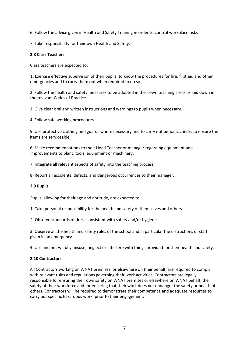6. Follow the advice given in Health and Safety Training in order to control workplace risks.

7. Take responsibility for their own Health and Safety.

## **2.8 Class Teachers**

Class teachers are expected to:

1. Exercise effective supervision of their pupils, to know the procedures for fire, first aid and other emergencies and to carry them out when required to do so

2. Follow the health and safety measures to be adopted in their own teaching areas as laid down in the relevant Codes of Practice.

3. Give clear oral and written instructions and warnings to pupils when necessary.

4. Follow safe working procedures.

5. Use protective clothing and guards where necessary and to carry out periodic checks to ensure the items are serviceable

6. Make recommendations to their Head Teacher or manager regarding equipment and improvements to plant, tools, equipment or machinery.

7. Integrate all relevant aspects of safety into the teaching process.

8. Report all accidents, defects, and dangerous occurrences to their manager.

## **2.9 Pupils**

Pupils, allowing for their age and aptitude, are expected to:

1. Take personal responsibility for the health and safety of themselves and others.

2. Observe standards of dress consistent with safety and/or hygiene.

3. Observe all the health and safety rules of the school and in particular the instructions of staff given in an emergency.

4. Use and not wilfully misuse, neglect or interfere with things provided for their health and safety.

# **2.10 Contractors**

All Contractors working on WNAT premises, or elsewhere on their behalf, are required to comply with relevant rules and regulations governing their work activities. Contractors are legally responsible for ensuring their own safety on WNAT premises or elsewhere on WNAT behalf, the safety of their workforce and for ensuring that their work does not endanger the safety or health of others. Contractors will be required to demonstrate their competence and adequate resources to carry out specific hazardous work, prior to their engagement.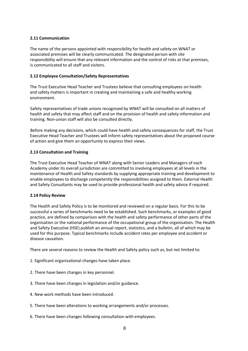## **2.11 Communication**

The name of the persons appointed with responsibility for health and safety on WNAT or associated premises will be clearly communicated. The designated person with site responsibility will ensure that any relevant information and the control of risks at that premises, is communicated to all staff and visitors.

## **2.12 Employee Consultation/Safety Representatives**

The Trust Executive Head Teacher and Trustees believe that consulting employees on health and safety matters is important in creating and maintaining a safe and healthy working environment.

Safety representatives of trade unions recognised by WNAT will be consulted on all matters of health and safety that may affect staff and on the provision of health and safety information and training. Non-union staff will also be consulted directly.

Before making any decisions, which could have health and safety consequences for staff, the Trust Executive Head Teacher and Trustees will inform safety representatives about the proposed course of action and give them an opportunity to express their views.

## **2.13 Consultation and Training**

The Trust Executive Head Teacher of WNAT along with Senior Leaders and Managers of each Academy under its overall jurisdiction are committed to involving employees at all levels in the maintenance of Health and Safety standards by supplying appropriate training and development to enable employees to discharge competently the responsibilities assigned to them. External Health and Safety Consultants may be used to provide professional health and safety advice if required.

## **2.14 Policy Review**

The Health and Safety Policy is to be monitored and reviewed on a regular basis. For this to be successful a series of benchmarks need to be established. Such benchmarks, or examples of good practice, are defined by comparison with the health and safety performance of other parts of the organisation or the national performance of the occupational group of the organisation. The Health and Safety Executive (HSE) publish an annual report, statistics, and a bulletin, all of which may be used for this purpose. Typical benchmarks include accident rates per employee and accident or disease causation.

There are several reasons to review the Health and Safety policy such as, but not limited to:

- 1. Significant organisational changes have taken place.
- 2. There have been changes in key personnel.
- 3. There have been changes in legislation and/or guidance.
- 4. New work methods have been introduced.
- 5. There have been alterations to working arrangements and/or processes.
- 6. There have been changes following consultation with employees.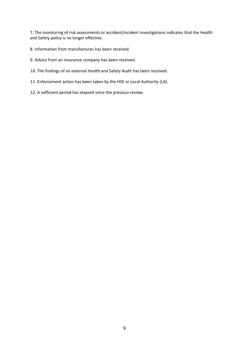7. The monitoring of risk assessments or accident/incident investigations indicates that the Health and Safety policy is no longer effective.

- 8. Information from manufactures has been received.
- 9. Advice from an insurance company has been received.
- 10. The findings of an external Health and Safety Audit has been received.
- 11. Enforcement action has been taken by the HSE or Local Authority (LA).
- 12. A sufficient period has elapsed since the previous review.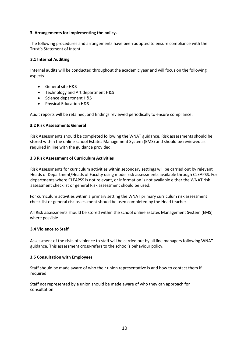## **3. Arrangements for implementing the policy.**

The following procedures and arrangements have been adopted to ensure compliance with the Trust's Statement of Intent.

## **3.1 Internal Auditing**

Internal audits will be conducted throughout the academic year and will focus on the following aspects

- General site H&S
- Technology and Art department H&S
- Science department H&S
- Physical Education H&S

Audit reports will be retained, and findings reviewed periodically to ensure compliance.

## **3.2 Risk Assessments General**

Risk Assessments should be completed following the WNAT guidance. Risk assessments should be stored within the online school Estates Management System (EMS) and should be reviewed as required in line with the guidance provided.

## **3.3 Risk Assessment of Curriculum Activities**

Risk Assessments for curriculum activities within secondary settings will be carried out by relevant Heads of Department/Heads of Faculty using model risk assessments available through CLEAPSS. For departments where CLEAPSS is not relevant, or information is not available either the WNAT risk assessment checklist or general Risk assessment should be used.

For curriculum activities within a primary setting the WNAT primary curriculum risk assessment check list or general risk assessment should be used completed by the Head teacher.

All Risk assessments should be stored within the school online Estates Management System (EMS) where possible

## **3.4 Violence to Staff**

Assessment of the risks of violence to staff will be carried out by all line managers following WNAT guidance. This assessment cross-refers to the school's behaviour policy.

## **3.5 Consultation with Employees**

Staff should be made aware of who their union representative is and how to contact them if required

Staff not represented by a union should be made aware of who they can approach for consultation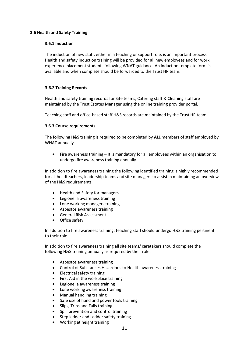## **3.6 Health and Safety Training**

## **3.6.1 Induction**

The induction of new staff, either in a teaching or support role, is an important process. Health and safety induction training will be provided for all new employees and for work experience placement students following WNAT guidance. An induction template form is available and when complete should be forwarded to the Trust HR team.

## **3.6.2 Training Records**

Health and safety training records for Site teams, Catering staff & Cleaning staff are maintained by the Trust Estates Manager using the online training provider portal.

Teaching staff and office-based staff H&S records are maintained by the Trust HR team

## **3.6.3 Course requirements**

The following H&S training is required to be completed by **ALL** members of staff employed by WNAT annually.

• Fire awareness training – It is mandatory for all employees within an organisation to undergo fire awareness training annually.

In addition to fire awareness training the following identified training is highly recommended for all headteachers, leadership teams and site managers to assist in maintaining an overview of the H&S requirements.

- Health and Safety for managers
- Legionella awareness training
- Lone working managers training
- Asbestos awareness training
- General Risk Assessment
- Office safety

In addition to fire awareness training, teaching staff should undergo H&S training pertinent to their role.

In addition to fire awareness training all site teams/ caretakers should complete the following H&S training annually as required by their role.

- Asbestos awareness training
- Control of Substances Hazardous to Health awareness training
- Electrical safety training
- First Aid in the workplace training
- Legionella awareness training
- Lone working awareness training
- Manual handling training
- Safe use of hand and power tools training
- Slips, Trips and Falls training
- Spill prevention and control training
- Step ladder and Ladder safety training
- Working at height training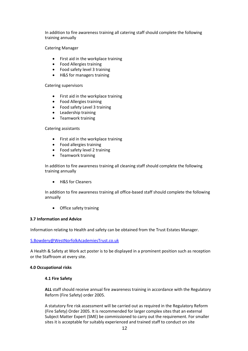In addition to fire awareness training all catering staff should complete the following training annually

Catering Manager

- First aid in the workplace training
- Food Allergies training
- Food safety level 3 training
- H&S for managers training

#### Catering supervisors

- First aid in the workplace training
- Food Allergies training
- Food safety Level 3 training
- Leadership training
- Teamwork training

## Catering assistants

- First aid in the workplace training
- Food allergies training
- Food safety level 2 training
- Teamwork training

In addition to fire awareness training all cleaning staff should complete the following training annually

• H&S for Cleaners

In addition to fire awareness training all office-based staff should complete the following annually

• Office safety training

## **3.7 Information and Advice**

Information relating to Health and safety can be obtained from the Trust Estates Manager.

## [S.Bowdery@WestNorfolkAcademiesTrust.co.uk](mailto:S.Bowdery@WestNorfolkAcademiesTrust.co.uk)

A Health & Safety at Work act poster is to be displayed in a prominent position such as reception or the Staffroom at every site.

## **4.0 Occupational risks**

## **4.1 Fire Safety**

**ALL** staff should receive annual fire awareness training in accordance with the Regulatory Reform (Fire Safety) order 2005.

A statutory fire risk assessment will be carried out as required in the Regulatory Reform (Fire Safety) Order 2005. It is recommended for larger complex sites that an external Subject Matter Expert (SME) be commissioned to carry out the requirement. For smaller sites it is acceptable for suitably experienced and trained staff to conduct on site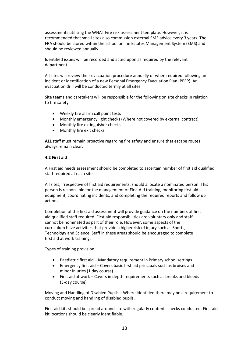assessments utilising the WNAT Fire risk assessment template. However, it is recommended that small sites also commission external SME advice every 3 years. The FRA should be stored within the school online Estates Management System (EMS) and should be reviewed annually.

Identified issues will be recorded and acted upon as required by the relevant department.

All sites will review their evacuation procedure annually or when required following an incident or identification of a new Personal Emergency Evacuation Plan (PEEP). An evacuation drill will be conducted termly at all sites

Site teams and caretakers will be responsible for the following on site checks in relation to fire safety

- Weekly fire alarm call point tests
- Monthly emergency light checks (Where not covered by external contract)
- Monthly fire extinguisher checks
- Monthly fire exit checks

**ALL** staff must remain proactive regarding fire safety and ensure that escape routes always remain clear.

#### **4.2 First aid**

A First aid needs assessment should be completed to ascertain number of first aid qualified staff required at each site.

All sites, irrespective of first aid requirements, should allocate a nominated person. This person is responsible for the management of First Aid training, monitoring first aid equipment, coordinating incidents, and completing the required reports and follow up actions.

Completion of the first aid assessment will provide guidance on the numbers of first aid qualified staff required. First aid responsibilities are voluntary only and staff cannot be nominated as part of their role. However, some aspects of the curriculum have activities that provide a higher risk of injury such as Sports, Technology and Science. Staff in these areas should be encouraged to complete first aid at work training.

Types of training provision

- Paediatric first aid Mandatory requirement in Primary school settings
- Emergency first aid Covers basic first aid principals such as bruises and minor injuries (1 day course)
- First aid at work Covers in depth requirements such as breaks and bleeds (3-day course)

Moving and Handling of Disabled Pupils – Where identified there may be a requirement to conduct moving and handling of disabled pupils.

First aid kits should be spread around site with regularly contents checks conducted. First aid kit locations should be clearly identifiable.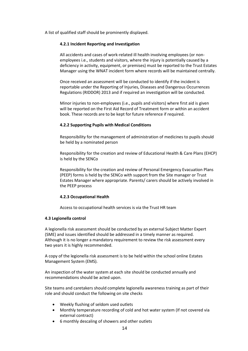A list of qualified staff should be prominently displayed.

## **4.2.1 Incident Reporting and Investigation**

All accidents and cases of work-related ill health involving employees (or nonemployees i.e., students and visitors, where the injury is potentially caused by a deficiency in activity, equipment, or premises) must be reported to the Trust Estates Manager using the WNAT incident form where records will be maintained centrally.

Once received an assessment will be conducted to identify if the incident is reportable under the Reporting of Injuries, Diseases and Dangerous Occurrences Regulations (RIDDOR) 2013 and if required an investigation will be conducted.

Minor injuries to non-employees (i.e., pupils and visitors) where first aid is given will be reported on the First Aid Record of Treatment form or within an accident book. These records are to be kept for future reference if required.

## **4.2.2 Supporting Pupils with Medical Conditions**

Responsibility for the management of administration of medicines to pupils should be held by a nominated person

Responsibility for the creation and review of Educational Health & Care Plans (EHCP) is held by the SENCo

Responsibility for the creation and review of Personal Emergency Evacuation Plans (PEEP) forms is held by the SENCo with support from the Site manager or Trust Estates Manager where appropriate. Parents/ carers should be actively involved in the PEEP process

# **4.2.3 Occupational Health**

Access to occupational health services is via the Trust HR team

## **4.3 Legionella control**

A legionella risk assessment should be conducted by an external Subject Matter Expert (SME) and issues identified should be addressed in a timely manner as required. Although it is no longer a mandatory requirement to review the risk assessment every two years it is highly recommended.

A copy of the legionella risk assessment is to be held within the school online Estates Management System (EMS).

An inspection of the water system at each site should be conducted annually and recommendations should be acted upon.

Site teams and caretakers should complete legionella awareness training as part of their role and should conduct the following on site checks

- Weekly flushing of seldom used outlets
- Monthly temperature recording of cold and hot water system (If not covered via external contract)
- 6 monthly descaling of showers and other outlets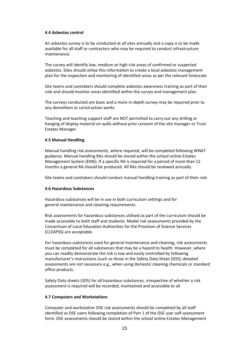## **4.4 Asbestos control**

An asbestos survey is to be conducted at all sites annually and a copy is to be made available for all staff or contractors who may be required to conduct infrastructure maintenance.

The survey will identify low, medium or high-risk areas of confirmed or suspected asbestos. Sites should utilise this information to create a local asbestos management plan for the inspection and monitoring of identified areas as per the relevant timescale.

Site teams and caretakers should complete asbestos awareness training as part of their role and should monitor areas identified within the survey and management plan.

The surveys conducted are basic and a more in-depth survey may be required prior to any demolition or construction works

Teaching and teaching support staff are NOT permitted to carry out any drilling or hanging of display material on walls without prior consent of the site manager or Trust Estates Manager.

#### **4.5 Manual Handling**

Manual handling risk assessments, where required, will be completed following WNAT guidance. Manual handling RAs should be stored within the school online Estates Management System (EMS). If a specific RA is required for a period of more than 12 months a general RA should be produced. All RAs should be reviewed annually.

Site teams and caretakers should conduct manual handling training as part of their role

## **4.6 Hazardous Substances**

Hazardous substances will be in use in both curriculum settings and for general maintenance and cleaning requirements.

Risk assessments for hazardous substances utilised as part of the curriculum should be made accessible to both staff and students. Model risk assessments provided by the Consortium of Local Education Authorities for the Provision of Science Services (CLEAPSS) are acceptable.

For hazardous substances used for general maintenance and cleaning, risk assessments must be completed for all substances that may be a hazard to health. However, where you can readily demonstrate the risk is low and easily controlled by following manufacturer's instructions (such as those in the Safety Data Sheet (SDS); detailed assessments are not necessary e.g., when using domestic cleaning chemicals or standard office products.

Safety Data sheets (SDS) for all hazardous substances, irrespective of whether a risk assessment is required will be recorded, maintained and accessible to all

## **4.7 Computers and Workstations**

Computer and workstation DSE risk assessments should be completed by all staff identified as DSE users following completion of Part 1 of the DSE user self-assessment form. DSE assessments should be stored within the school online Estates Management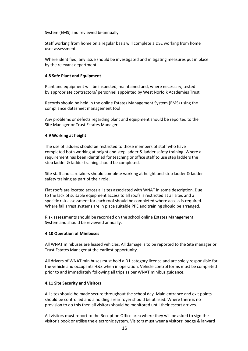System (EMS) and reviewed bi-annually.

Staff working from home on a regular basis will complete a DSE working from home user assessment.

Where identified, any issue should be investigated and mitigating measures put in place by the relevant department

#### **4.8 Safe Plant and Equipment**

Plant and equipment will be inspected, maintained and, where necessary, tested by appropriate contractors/ personnel appointed by West Norfolk Academies Trust

Records should be held in the online Estates Management System (EMS) using the compliance datasheet management tool

Any problems or defects regarding plant and equipment should be reported to the Site Manager or Trust Estates Manager

#### **4.9 Working at height**

The use of ladders should be restricted to those members of staff who have completed both working at height and step ladder & ladder safety training. Where a requirement has been identified for teaching or office staff to use step ladders the step ladder & ladder training should be completed.

Site staff and caretakers should complete working at height and step ladder & ladder safety training as part of their role.

Flat roofs are located across all sites associated with WNAT in some description. Due to the lack of suitable equipment access to all roofs is restricted at all sites and a specific risk assessment for each roof should be completed where access is required. Where fall arrest systems are in place suitable PPE and training should be arranged.

Risk assessments should be recorded on the school online Estates Management System and should be reviewed annually.

## **4.10 Operation of Minibuses**

All WNAT minibuses are leased vehicles. All damage is to be reported to the Site manager or Trust Estates Manager at the earliest opportunity.

All drivers of WNAT minibuses must hold a D1 category licence and are solely responsible for the vehicle and occupants H&S when in operation. Vehicle control forms must be completed prior to and immediately following all trips as per WNAT minibus guidance.

## **4.11 Site Security and Visitors**

All sites should be made secure throughout the school day. Main entrance and exit points should be controlled and a holding area/ foyer should be utilised. Where there is no provision to do this then all visitors should be monitored until their escort arrives.

All visitors must report to the Reception Office area where they will be asked to sign the visitor's book or utilise the electronic system. Visitors must wear a visitors' badge & lanyard